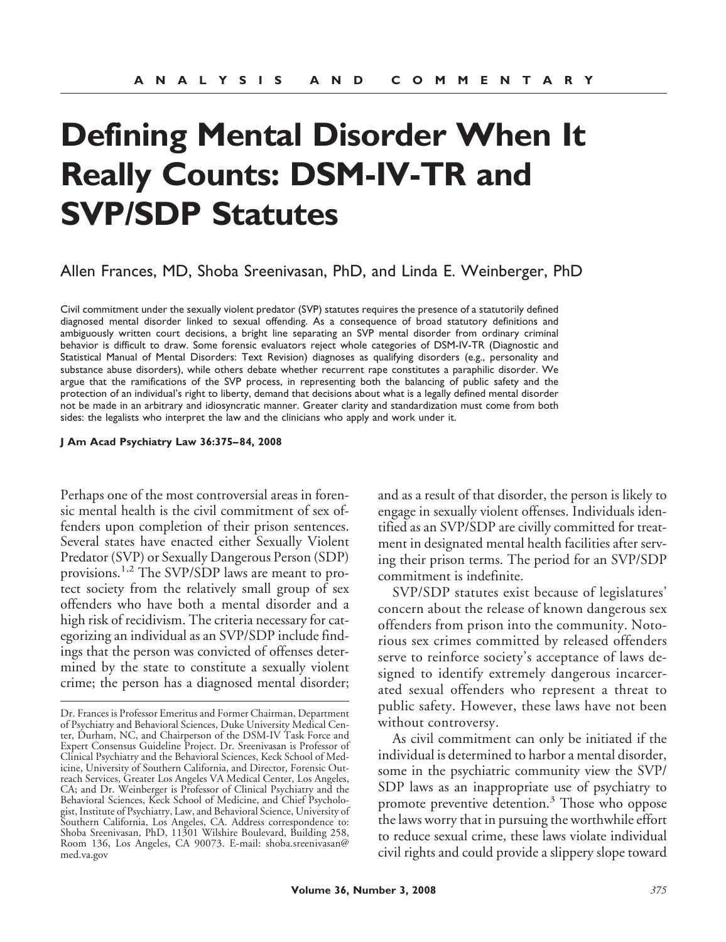# **Defining Mental Disorder When It Really Counts: DSM-IV-TR and SVP/SDP Statutes**

## Allen Frances, MD, Shoba Sreenivasan, PhD, and Linda E. Weinberger, PhD

Civil commitment under the sexually violent predator (SVP) statutes requires the presence of a statutorily defined diagnosed mental disorder linked to sexual offending. As a consequence of broad statutory definitions and ambiguously written court decisions, a bright line separating an SVP mental disorder from ordinary criminal behavior is difficult to draw. Some forensic evaluators reject whole categories of DSM-IV-TR (Diagnostic and Statistical Manual of Mental Disorders: Text Revision) diagnoses as qualifying disorders (e.g., personality and substance abuse disorders), while others debate whether recurrent rape constitutes a paraphilic disorder. We argue that the ramifications of the SVP process, in representing both the balancing of public safety and the protection of an individual's right to liberty, demand that decisions about what is a legally defined mental disorder not be made in an arbitrary and idiosyncratic manner. Greater clarity and standardization must come from both sides: the legalists who interpret the law and the clinicians who apply and work under it.

#### **J Am Acad Psychiatry Law 36:375– 84, 2008**

Perhaps one of the most controversial areas in forensic mental health is the civil commitment of sex offenders upon completion of their prison sentences. Several states have enacted either Sexually Violent Predator (SVP) or Sexually Dangerous Person (SDP) provisions.1,2 The SVP/SDP laws are meant to protect society from the relatively small group of sex offenders who have both a mental disorder and a high risk of recidivism. The criteria necessary for categorizing an individual as an SVP/SDP include findings that the person was convicted of offenses determined by the state to constitute a sexually violent crime; the person has a diagnosed mental disorder; and as a result of that disorder, the person is likely to engage in sexually violent offenses. Individuals identified as an SVP/SDP are civilly committed for treatment in designated mental health facilities after serving their prison terms. The period for an SVP/SDP commitment is indefinite.

SVP/SDP statutes exist because of legislatures' concern about the release of known dangerous sex offenders from prison into the community. Notorious sex crimes committed by released offenders serve to reinforce society's acceptance of laws designed to identify extremely dangerous incarcerated sexual offenders who represent a threat to public safety. However, these laws have not been without controversy.

As civil commitment can only be initiated if the individual is determined to harbor a mental disorder, some in the psychiatric community view the SVP/ SDP laws as an inappropriate use of psychiatry to promote preventive detention. $3$  Those who oppose the laws worry that in pursuing the worthwhile effort to reduce sexual crime, these laws violate individual civil rights and could provide a slippery slope toward

Dr. Frances is Professor Emeritus and Former Chairman, Department of Psychiatry and Behavioral Sciences, Duke University Medical Center, Durham, NC, and Chairperson of the DSM-IV Task Force and Expert Consensus Guideline Project. Dr. Sreenivasan is Professor of Clinical Psychiatry and the Behavioral Sciences, Keck School of Medicine, University of Southern California, and Director, Forensic Outreach Services, Greater Los Angeles VA Medical Center, Los Angeles, CA; and Dr. Weinberger is Professor of Clinical Psychiatry and the Behavioral Sciences, Keck School of Medicine, and Chief Psychologist, Institute of Psychiatry, Law, and Behavioral Science, University of Southern California, Los Angeles, CA. Address correspondence to: Shoba Sreenivasan, PhD, 11301 Wilshire Boulevard, Building 258, Room 136, Los Angeles, CA 90073. E-mail: shoba.sreenivasan@ med.va.gov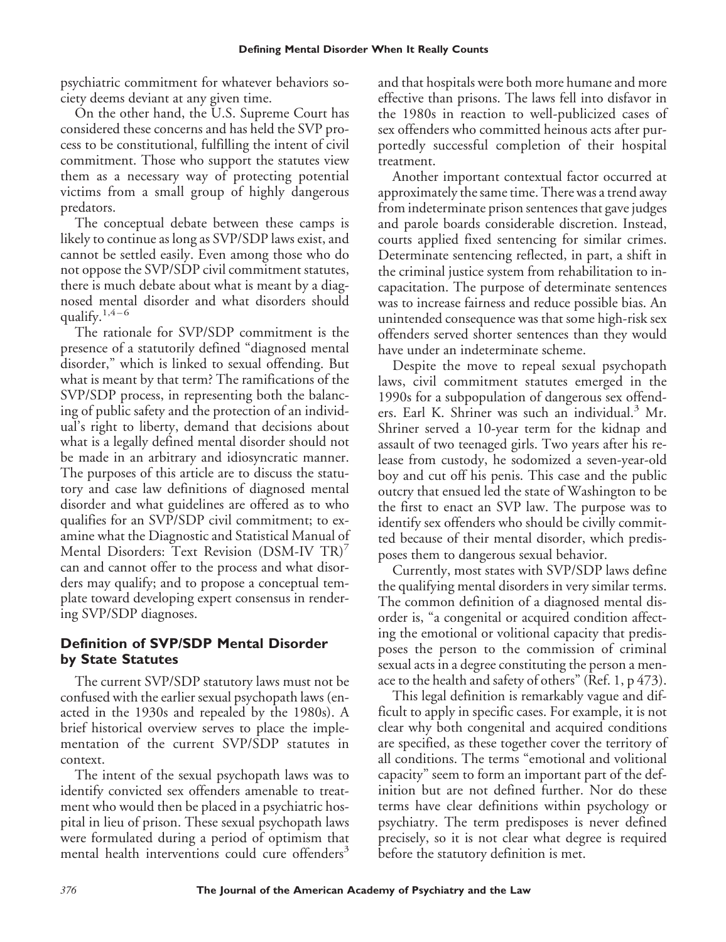psychiatric commitment for whatever behaviors society deems deviant at any given time.

On the other hand, the U.S. Supreme Court has considered these concerns and has held the SVP process to be constitutional, fulfilling the intent of civil commitment. Those who support the statutes view them as a necessary way of protecting potential victims from a small group of highly dangerous predators.

The conceptual debate between these camps is likely to continue as long as SVP/SDP laws exist, and cannot be settled easily. Even among those who do not oppose the SVP/SDP civil commitment statutes, there is much debate about what is meant by a diagnosed mental disorder and what disorders should qualify. $1,4-6$ 

The rationale for SVP/SDP commitment is the presence of a statutorily defined "diagnosed mental disorder," which is linked to sexual offending. But what is meant by that term? The ramifications of the SVP/SDP process, in representing both the balancing of public safety and the protection of an individual's right to liberty, demand that decisions about what is a legally defined mental disorder should not be made in an arbitrary and idiosyncratic manner. The purposes of this article are to discuss the statutory and case law definitions of diagnosed mental disorder and what guidelines are offered as to who qualifies for an SVP/SDP civil commitment; to examine what the Diagnostic and Statistical Manual of Mental Disorders: Text Revision (DSM-IV TR)<sup>7</sup> can and cannot offer to the process and what disorders may qualify; and to propose a conceptual template toward developing expert consensus in rendering SVP/SDP diagnoses.

# **Definition of SVP/SDP Mental Disorder by State Statutes**

The current SVP/SDP statutory laws must not be confused with the earlier sexual psychopath laws (enacted in the 1930s and repealed by the 1980s). A brief historical overview serves to place the implementation of the current SVP/SDP statutes in context.

The intent of the sexual psychopath laws was to identify convicted sex offenders amenable to treatment who would then be placed in a psychiatric hospital in lieu of prison. These sexual psychopath laws were formulated during a period of optimism that mental health interventions could cure offenders<sup>3</sup>

and that hospitals were both more humane and more effective than prisons. The laws fell into disfavor in the 1980s in reaction to well-publicized cases of sex offenders who committed heinous acts after purportedly successful completion of their hospital treatment.

Another important contextual factor occurred at approximately the same time. There was a trend away from indeterminate prison sentences that gave judges and parole boards considerable discretion. Instead, courts applied fixed sentencing for similar crimes. Determinate sentencing reflected, in part, a shift in the criminal justice system from rehabilitation to incapacitation. The purpose of determinate sentences was to increase fairness and reduce possible bias. An unintended consequence was that some high-risk sex offenders served shorter sentences than they would have under an indeterminate scheme.

Despite the move to repeal sexual psychopath laws, civil commitment statutes emerged in the 1990s for a subpopulation of dangerous sex offenders. Earl K. Shriner was such an individual.<sup>3</sup> Mr. Shriner served a 10-year term for the kidnap and assault of two teenaged girls. Two years after his release from custody, he sodomized a seven-year-old boy and cut off his penis. This case and the public outcry that ensued led the state of Washington to be the first to enact an SVP law. The purpose was to identify sex offenders who should be civilly committed because of their mental disorder, which predisposes them to dangerous sexual behavior.

Currently, most states with SVP/SDP laws define the qualifying mental disorders in very similar terms. The common definition of a diagnosed mental disorder is, "a congenital or acquired condition affecting the emotional or volitional capacity that predisposes the person to the commission of criminal sexual acts in a degree constituting the person a menace to the health and safety of others" (Ref. 1, p 473).

This legal definition is remarkably vague and difficult to apply in specific cases. For example, it is not clear why both congenital and acquired conditions are specified, as these together cover the territory of all conditions. The terms "emotional and volitional capacity" seem to form an important part of the definition but are not defined further. Nor do these terms have clear definitions within psychology or psychiatry. The term predisposes is never defined precisely, so it is not clear what degree is required before the statutory definition is met.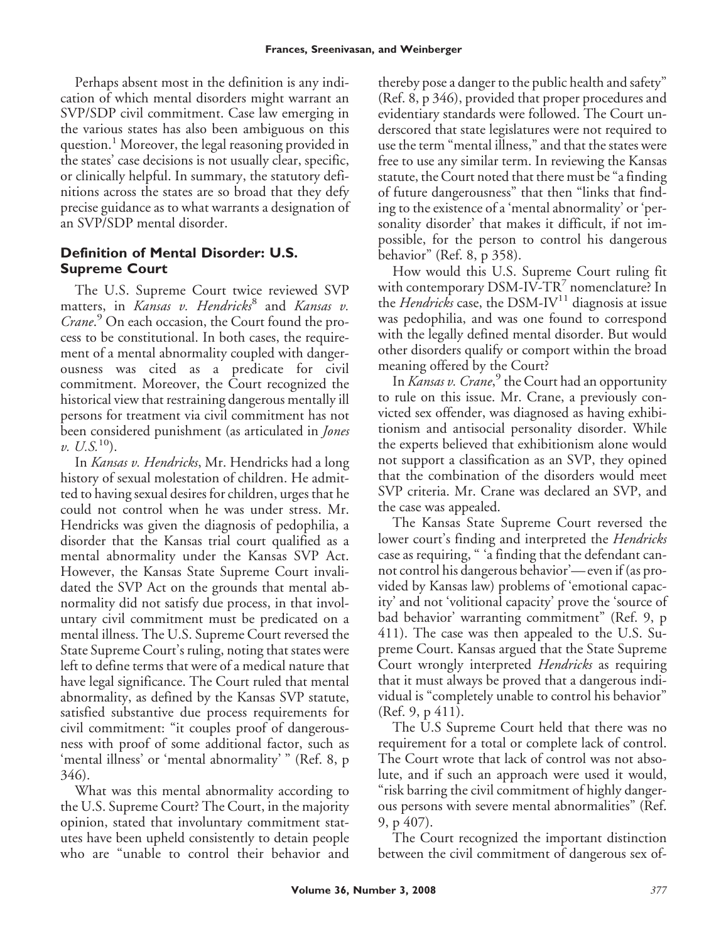Perhaps absent most in the definition is any indication of which mental disorders might warrant an SVP/SDP civil commitment. Case law emerging in the various states has also been ambiguous on this question.<sup>1</sup> Moreover, the legal reasoning provided in the states' case decisions is not usually clear, specific, or clinically helpful. In summary, the statutory definitions across the states are so broad that they defy precise guidance as to what warrants a designation of an SVP/SDP mental disorder.

# **Definition of Mental Disorder: U.S. Supreme Court**

The U.S. Supreme Court twice reviewed SVP matters, in *Kansas v. Hendricks*<sup>8</sup> and *Kansas v. Crane*. <sup>9</sup> On each occasion, the Court found the process to be constitutional. In both cases, the requirement of a mental abnormality coupled with dangerousness was cited as a predicate for civil commitment. Moreover, the Court recognized the historical view that restraining dangerous mentally ill persons for treatment via civil commitment has not been considered punishment (as articulated in *Jones*  $v. U.S.<sup>10</sup>$ .

In *Kansas v. Hendricks*, Mr. Hendricks had a long history of sexual molestation of children. He admitted to having sexual desires for children, urges that he could not control when he was under stress. Mr. Hendricks was given the diagnosis of pedophilia, a disorder that the Kansas trial court qualified as a mental abnormality under the Kansas SVP Act. However, the Kansas State Supreme Court invalidated the SVP Act on the grounds that mental abnormality did not satisfy due process, in that involuntary civil commitment must be predicated on a mental illness. The U.S. Supreme Court reversed the State Supreme Court's ruling, noting that states were left to define terms that were of a medical nature that have legal significance. The Court ruled that mental abnormality, as defined by the Kansas SVP statute, satisfied substantive due process requirements for civil commitment: "it couples proof of dangerousness with proof of some additional factor, such as 'mental illness' or 'mental abnormality' " (Ref. 8, p 346).

What was this mental abnormality according to the U.S. Supreme Court? The Court, in the majority opinion, stated that involuntary commitment statutes have been upheld consistently to detain people who are "unable to control their behavior and thereby pose a danger to the public health and safety" (Ref. 8, p 346), provided that proper procedures and evidentiary standards were followed. The Court underscored that state legislatures were not required to use the term "mental illness," and that the states were free to use any similar term. In reviewing the Kansas statute, the Court noted that there must be "a finding of future dangerousness" that then "links that finding to the existence of a 'mental abnormality' or 'personality disorder' that makes it difficult, if not impossible, for the person to control his dangerous behavior" (Ref. 8, p 358).

How would this U.S. Supreme Court ruling fit with contemporary DSM-IV-TR<sup>7</sup> nomenclature? In the *Hendricks* case, the DSM-IV<sup>11</sup> diagnosis at issue was pedophilia, and was one found to correspond with the legally defined mental disorder. But would other disorders qualify or comport within the broad meaning offered by the Court?

In *Kansas v. Crane*, <sup>9</sup> the Court had an opportunity to rule on this issue. Mr. Crane, a previously convicted sex offender, was diagnosed as having exhibitionism and antisocial personality disorder. While the experts believed that exhibitionism alone would not support a classification as an SVP, they opined that the combination of the disorders would meet SVP criteria. Mr. Crane was declared an SVP, and the case was appealed.

The Kansas State Supreme Court reversed the lower court's finding and interpreted the *Hendricks* case as requiring, " 'a finding that the defendant cannot control his dangerous behavior'— even if (as provided by Kansas law) problems of 'emotional capacity' and not 'volitional capacity' prove the 'source of bad behavior' warranting commitment" (Ref. 9, p 411). The case was then appealed to the U.S. Supreme Court. Kansas argued that the State Supreme Court wrongly interpreted *Hendricks* as requiring that it must always be proved that a dangerous individual is "completely unable to control his behavior" (Ref. 9, p 411).

The U.S Supreme Court held that there was no requirement for a total or complete lack of control. The Court wrote that lack of control was not absolute, and if such an approach were used it would, "risk barring the civil commitment of highly dangerous persons with severe mental abnormalities" (Ref. 9, p 407).

The Court recognized the important distinction between the civil commitment of dangerous sex of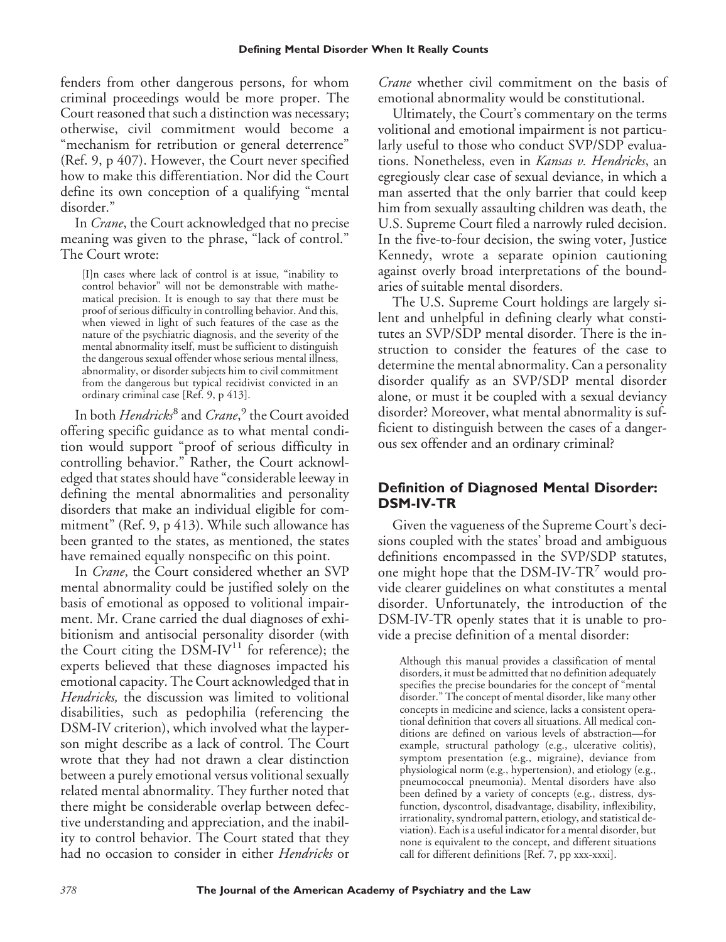fenders from other dangerous persons, for whom criminal proceedings would be more proper. The Court reasoned that such a distinction was necessary; otherwise, civil commitment would become a "mechanism for retribution or general deterrence" (Ref. 9, p 407). However, the Court never specified how to make this differentiation. Nor did the Court define its own conception of a qualifying "mental disorder."

In *Crane*, the Court acknowledged that no precise meaning was given to the phrase, "lack of control." The Court wrote:

[I]n cases where lack of control is at issue, "inability to control behavior" will not be demonstrable with mathematical precision. It is enough to say that there must be proof of serious difficulty in controlling behavior. And this, when viewed in light of such features of the case as the nature of the psychiatric diagnosis, and the severity of the mental abnormality itself, must be sufficient to distinguish the dangerous sexual offender whose serious mental illness, abnormality, or disorder subjects him to civil commitment from the dangerous but typical recidivist convicted in an ordinary criminal case [Ref. 9, p 413].

In both *Hendricks*<sup>8</sup> and *Crane*, <sup>9</sup> the Court avoided offering specific guidance as to what mental condition would support "proof of serious difficulty in controlling behavior." Rather, the Court acknowledged that states should have "considerable leeway in defining the mental abnormalities and personality disorders that make an individual eligible for commitment" (Ref. 9, p 413). While such allowance has been granted to the states, as mentioned, the states have remained equally nonspecific on this point.

In *Crane*, the Court considered whether an SVP mental abnormality could be justified solely on the basis of emotional as opposed to volitional impairment. Mr. Crane carried the dual diagnoses of exhibitionism and antisocial personality disorder (with the Court citing the DSM-IV<sup>11</sup> for reference); the experts believed that these diagnoses impacted his emotional capacity. The Court acknowledged that in *Hendricks,* the discussion was limited to volitional disabilities, such as pedophilia (referencing the DSM-IV criterion), which involved what the layperson might describe as a lack of control. The Court wrote that they had not drawn a clear distinction between a purely emotional versus volitional sexually related mental abnormality. They further noted that there might be considerable overlap between defective understanding and appreciation, and the inability to control behavior. The Court stated that they had no occasion to consider in either *Hendricks* or

*Crane* whether civil commitment on the basis of emotional abnormality would be constitutional.

Ultimately, the Court's commentary on the terms volitional and emotional impairment is not particularly useful to those who conduct SVP/SDP evaluations. Nonetheless, even in *Kansas v. Hendricks*, an egregiously clear case of sexual deviance, in which a man asserted that the only barrier that could keep him from sexually assaulting children was death, the U.S. Supreme Court filed a narrowly ruled decision. In the five-to-four decision, the swing voter, Justice Kennedy, wrote a separate opinion cautioning against overly broad interpretations of the boundaries of suitable mental disorders.

The U.S. Supreme Court holdings are largely silent and unhelpful in defining clearly what constitutes an SVP/SDP mental disorder. There is the instruction to consider the features of the case to determine the mental abnormality. Can a personality disorder qualify as an SVP/SDP mental disorder alone, or must it be coupled with a sexual deviancy disorder? Moreover, what mental abnormality is sufficient to distinguish between the cases of a dangerous sex offender and an ordinary criminal?

## **Definition of Diagnosed Mental Disorder: DSM-IV-TR**

Given the vagueness of the Supreme Court's decisions coupled with the states' broad and ambiguous definitions encompassed in the SVP/SDP statutes, one might hope that the DSM-IV-TR<sup>7</sup> would provide clearer guidelines on what constitutes a mental disorder. Unfortunately, the introduction of the DSM-IV-TR openly states that it is unable to provide a precise definition of a mental disorder:

Although this manual provides a classification of mental disorders, it must be admitted that no definition adequately specifies the precise boundaries for the concept of "mental disorder." The concept of mental disorder, like many other concepts in medicine and science, lacks a consistent operational definition that covers all situations. All medical conditions are defined on various levels of abstraction—for example, structural pathology (e.g., ulcerative colitis), symptom presentation (e.g., migraine), deviance from physiological norm (e.g., hypertension), and etiology (e.g., pneumococcal pneumonia). Mental disorders have also been defined by a variety of concepts (e.g., distress, dysfunction, dyscontrol, disadvantage, disability, inflexibility, irrationality, syndromal pattern, etiology, and statistical deviation). Each is a useful indicator for a mental disorder, but none is equivalent to the concept, and different situations call for different definitions [Ref. 7, pp xxx-xxxi].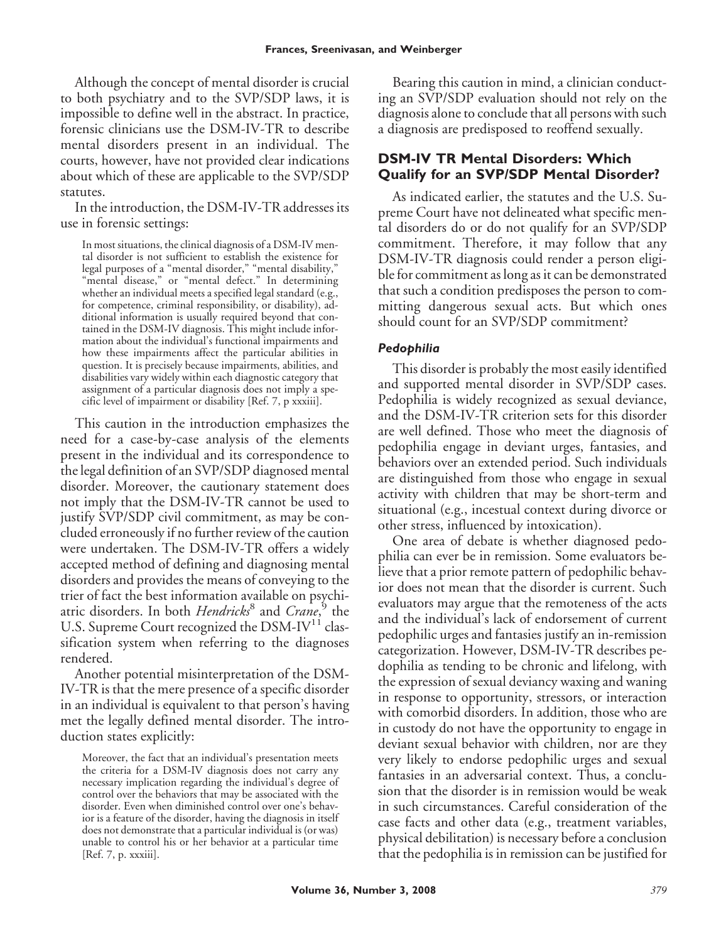Although the concept of mental disorder is crucial to both psychiatry and to the SVP/SDP laws, it is impossible to define well in the abstract. In practice, forensic clinicians use the DSM-IV-TR to describe mental disorders present in an individual. The courts, however, have not provided clear indications about which of these are applicable to the SVP/SDP statutes.

In the introduction, the DSM-IV-TR addresses its use in forensic settings:

In most situations, the clinical diagnosis of a DSM-IV mental disorder is not sufficient to establish the existence for legal purposes of a "mental disorder," "mental disability," "mental disease," or "mental defect." In determining whether an individual meets a specified legal standard (e.g., for competence, criminal responsibility, or disability), additional information is usually required beyond that contained in the DSM-IV diagnosis. This might include information about the individual's functional impairments and how these impairments affect the particular abilities in question. It is precisely because impairments, abilities, and disabilities vary widely within each diagnostic category that assignment of a particular diagnosis does not imply a specific level of impairment or disability [Ref. 7, p xxxiii].

This caution in the introduction emphasizes the need for a case-by-case analysis of the elements present in the individual and its correspondence to the legal definition of an SVP/SDP diagnosed mental disorder. Moreover, the cautionary statement does not imply that the DSM-IV-TR cannot be used to justify SVP/SDP civil commitment, as may be concluded erroneously if no further review of the caution were undertaken. The DSM-IV-TR offers a widely accepted method of defining and diagnosing mental disorders and provides the means of conveying to the trier of fact the best information available on psychiatric disorders. In both *Hendricks*<sup>8</sup> and *Crane*, <sup>9</sup> the U.S. Supreme Court recognized the DSM-IV<sup>11</sup> classification system when referring to the diagnoses rendered.

Another potential misinterpretation of the DSM-IV-TR is that the mere presence of a specific disorder in an individual is equivalent to that person's having met the legally defined mental disorder. The introduction states explicitly:

Bearing this caution in mind, a clinician conducting an SVP/SDP evaluation should not rely on the diagnosis alone to conclude that all persons with such a diagnosis are predisposed to reoffend sexually.

# **DSM-IV TR Mental Disorders: Which Qualify for an SVP/SDP Mental Disorder?**

As indicated earlier, the statutes and the U.S. Supreme Court have not delineated what specific mental disorders do or do not qualify for an SVP/SDP commitment. Therefore, it may follow that any DSM-IV-TR diagnosis could render a person eligible for commitment as long as it can be demonstrated that such a condition predisposes the person to committing dangerous sexual acts. But which ones should count for an SVP/SDP commitment?

### *Pedophilia*

This disorder is probably the most easily identified and supported mental disorder in SVP/SDP cases. Pedophilia is widely recognized as sexual deviance, and the DSM-IV-TR criterion sets for this disorder are well defined. Those who meet the diagnosis of pedophilia engage in deviant urges, fantasies, and behaviors over an extended period. Such individuals are distinguished from those who engage in sexual activity with children that may be short-term and situational (e.g., incestual context during divorce or other stress, influenced by intoxication).

One area of debate is whether diagnosed pedophilia can ever be in remission. Some evaluators believe that a prior remote pattern of pedophilic behavior does not mean that the disorder is current. Such evaluators may argue that the remoteness of the acts and the individual's lack of endorsement of current pedophilic urges and fantasies justify an in-remission categorization. However, DSM-IV-TR describes pedophilia as tending to be chronic and lifelong, with the expression of sexual deviancy waxing and waning in response to opportunity, stressors, or interaction with comorbid disorders. In addition, those who are in custody do not have the opportunity to engage in deviant sexual behavior with children, nor are they very likely to endorse pedophilic urges and sexual fantasies in an adversarial context. Thus, a conclusion that the disorder is in remission would be weak in such circumstances. Careful consideration of the case facts and other data (e.g., treatment variables, physical debilitation) is necessary before a conclusion that the pedophilia is in remission can be justified for

Moreover, the fact that an individual's presentation meets the criteria for a DSM-IV diagnosis does not carry any necessary implication regarding the individual's degree of control over the behaviors that may be associated with the disorder. Even when diminished control over one's behavior is a feature of the disorder, having the diagnosis in itself does not demonstrate that a particular individual is (or was) unable to control his or her behavior at a particular time [Ref. 7, p. xxxiii].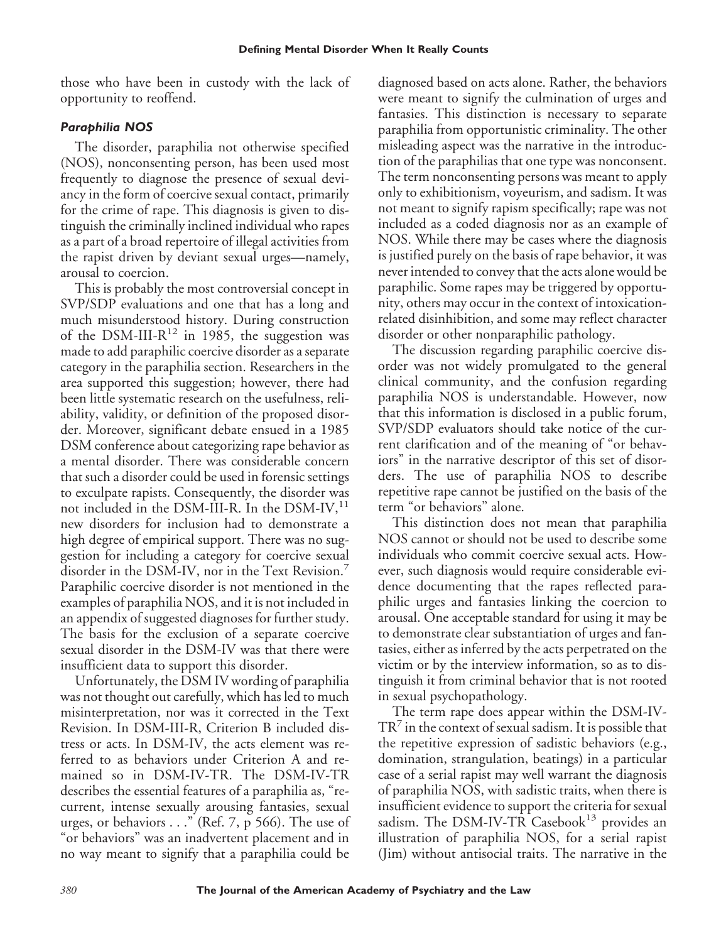those who have been in custody with the lack of opportunity to reoffend.

### *Paraphilia NOS*

The disorder, paraphilia not otherwise specified (NOS), nonconsenting person, has been used most frequently to diagnose the presence of sexual deviancy in the form of coercive sexual contact, primarily for the crime of rape. This diagnosis is given to distinguish the criminally inclined individual who rapes as a part of a broad repertoire of illegal activities from the rapist driven by deviant sexual urges—namely, arousal to coercion.

This is probably the most controversial concept in SVP/SDP evaluations and one that has a long and much misunderstood history. During construction of the DSM-III- $R^{12}$  in 1985, the suggestion was made to add paraphilic coercive disorder as a separate category in the paraphilia section. Researchers in the area supported this suggestion; however, there had been little systematic research on the usefulness, reliability, validity, or definition of the proposed disorder. Moreover, significant debate ensued in a 1985 DSM conference about categorizing rape behavior as a mental disorder. There was considerable concern that such a disorder could be used in forensic settings to exculpate rapists. Consequently, the disorder was not included in the DSM-III-R. In the DSM-IV, $^{11}$ new disorders for inclusion had to demonstrate a high degree of empirical support. There was no suggestion for including a category for coercive sexual disorder in the DSM-IV, nor in the Text Revision.<sup>7</sup> Paraphilic coercive disorder is not mentioned in the examples of paraphilia NOS, and it is not included in an appendix of suggested diagnoses for further study. The basis for the exclusion of a separate coercive sexual disorder in the DSM-IV was that there were insufficient data to support this disorder.

Unfortunately, the DSM IV wording of paraphilia was not thought out carefully, which has led to much misinterpretation, nor was it corrected in the Text Revision. In DSM-III-R, Criterion B included distress or acts. In DSM-IV, the acts element was referred to as behaviors under Criterion A and remained so in DSM-IV-TR. The DSM-IV-TR describes the essential features of a paraphilia as, "recurrent, intense sexually arousing fantasies, sexual urges, or behaviors . . ." (Ref. 7, p 566). The use of "or behaviors" was an inadvertent placement and in no way meant to signify that a paraphilia could be diagnosed based on acts alone. Rather, the behaviors were meant to signify the culmination of urges and fantasies. This distinction is necessary to separate paraphilia from opportunistic criminality. The other misleading aspect was the narrative in the introduction of the paraphilias that one type was nonconsent. The term nonconsenting persons was meant to apply only to exhibitionism, voyeurism, and sadism. It was not meant to signify rapism specifically; rape was not included as a coded diagnosis nor as an example of NOS. While there may be cases where the diagnosis is justified purely on the basis of rape behavior, it was never intended to convey that the acts alone would be paraphilic. Some rapes may be triggered by opportunity, others may occur in the context of intoxicationrelated disinhibition, and some may reflect character disorder or other nonparaphilic pathology.

The discussion regarding paraphilic coercive disorder was not widely promulgated to the general clinical community, and the confusion regarding paraphilia NOS is understandable. However, now that this information is disclosed in a public forum, SVP/SDP evaluators should take notice of the current clarification and of the meaning of "or behaviors" in the narrative descriptor of this set of disorders. The use of paraphilia NOS to describe repetitive rape cannot be justified on the basis of the term "or behaviors" alone.

This distinction does not mean that paraphilia NOS cannot or should not be used to describe some individuals who commit coercive sexual acts. However, such diagnosis would require considerable evidence documenting that the rapes reflected paraphilic urges and fantasies linking the coercion to arousal. One acceptable standard for using it may be to demonstrate clear substantiation of urges and fantasies, either as inferred by the acts perpetrated on the victim or by the interview information, so as to distinguish it from criminal behavior that is not rooted in sexual psychopathology.

The term rape does appear within the DSM-IV- $TR<sup>7</sup>$  in the context of sexual sadism. It is possible that the repetitive expression of sadistic behaviors (e.g., domination, strangulation, beatings) in a particular case of a serial rapist may well warrant the diagnosis of paraphilia NOS, with sadistic traits, when there is insufficient evidence to support the criteria for sexual sadism. The DSM-IV-TR Casebook<sup>13</sup> provides an illustration of paraphilia NOS, for a serial rapist (Jim) without antisocial traits. The narrative in the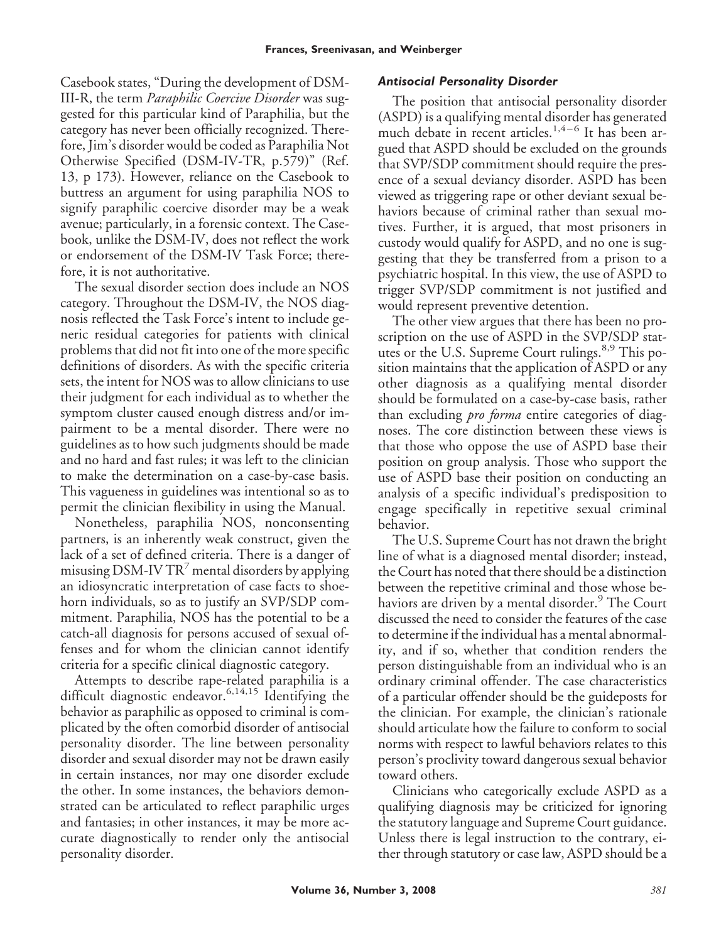Casebook states, "During the development of DSM-III-R, the term *Paraphilic Coercive Disorder* was suggested for this particular kind of Paraphilia, but the category has never been officially recognized. Therefore, Jim's disorder would be coded as Paraphilia Not Otherwise Specified (DSM-IV-TR, p.579)" (Ref. 13, p 173). However, reliance on the Casebook to buttress an argument for using paraphilia NOS to signify paraphilic coercive disorder may be a weak avenue; particularly, in a forensic context. The Casebook, unlike the DSM-IV, does not reflect the work or endorsement of the DSM-IV Task Force; therefore, it is not authoritative.

The sexual disorder section does include an NOS category. Throughout the DSM-IV, the NOS diagnosis reflected the Task Force's intent to include generic residual categories for patients with clinical problems that did not fit into one of the more specific definitions of disorders. As with the specific criteria sets, the intent for NOS was to allow clinicians to use their judgment for each individual as to whether the symptom cluster caused enough distress and/or impairment to be a mental disorder. There were no guidelines as to how such judgments should be made and no hard and fast rules; it was left to the clinician to make the determination on a case-by-case basis. This vagueness in guidelines was intentional so as to permit the clinician flexibility in using the Manual.

Nonetheless, paraphilia NOS, nonconsenting partners, is an inherently weak construct, given the lack of a set of defined criteria. There is a danger of misusing DSM-IV  $TR^7$  mental disorders by applying an idiosyncratic interpretation of case facts to shoehorn individuals, so as to justify an SVP/SDP commitment. Paraphilia, NOS has the potential to be a catch-all diagnosis for persons accused of sexual offenses and for whom the clinician cannot identify criteria for a specific clinical diagnostic category.

Attempts to describe rape-related paraphilia is a difficult diagnostic endeavor.<sup>6,14,15</sup> Identifying the behavior as paraphilic as opposed to criminal is complicated by the often comorbid disorder of antisocial personality disorder. The line between personality disorder and sexual disorder may not be drawn easily in certain instances, nor may one disorder exclude the other. In some instances, the behaviors demonstrated can be articulated to reflect paraphilic urges and fantasies; in other instances, it may be more accurate diagnostically to render only the antisocial personality disorder.

#### *Antisocial Personality Disorder*

The position that antisocial personality disorder (ASPD) is a qualifying mental disorder has generated much debate in recent articles.<sup>1,4-6</sup> It has been argued that ASPD should be excluded on the grounds that SVP/SDP commitment should require the presence of a sexual deviancy disorder. ASPD has been viewed as triggering rape or other deviant sexual behaviors because of criminal rather than sexual motives. Further, it is argued, that most prisoners in custody would qualify for ASPD, and no one is suggesting that they be transferred from a prison to a psychiatric hospital. In this view, the use of ASPD to trigger SVP/SDP commitment is not justified and would represent preventive detention.

The other view argues that there has been no proscription on the use of ASPD in the SVP/SDP statutes or the U.S. Supreme Court rulings.<sup>8,9</sup> This position maintains that the application of ASPD or any other diagnosis as a qualifying mental disorder should be formulated on a case-by-case basis, rather than excluding *pro forma* entire categories of diagnoses. The core distinction between these views is that those who oppose the use of ASPD base their position on group analysis. Those who support the use of ASPD base their position on conducting an analysis of a specific individual's predisposition to engage specifically in repetitive sexual criminal behavior.

The U.S. Supreme Court has not drawn the bright line of what is a diagnosed mental disorder; instead, the Court has noted that there should be a distinction between the repetitive criminal and those whose behaviors are driven by a mental disorder.<sup>9</sup> The Court discussed the need to consider the features of the case to determine if the individual has a mental abnormality, and if so, whether that condition renders the person distinguishable from an individual who is an ordinary criminal offender. The case characteristics of a particular offender should be the guideposts for the clinician. For example, the clinician's rationale should articulate how the failure to conform to social norms with respect to lawful behaviors relates to this person's proclivity toward dangerous sexual behavior toward others.

Clinicians who categorically exclude ASPD as a qualifying diagnosis may be criticized for ignoring the statutory language and Supreme Court guidance. Unless there is legal instruction to the contrary, either through statutory or case law, ASPD should be a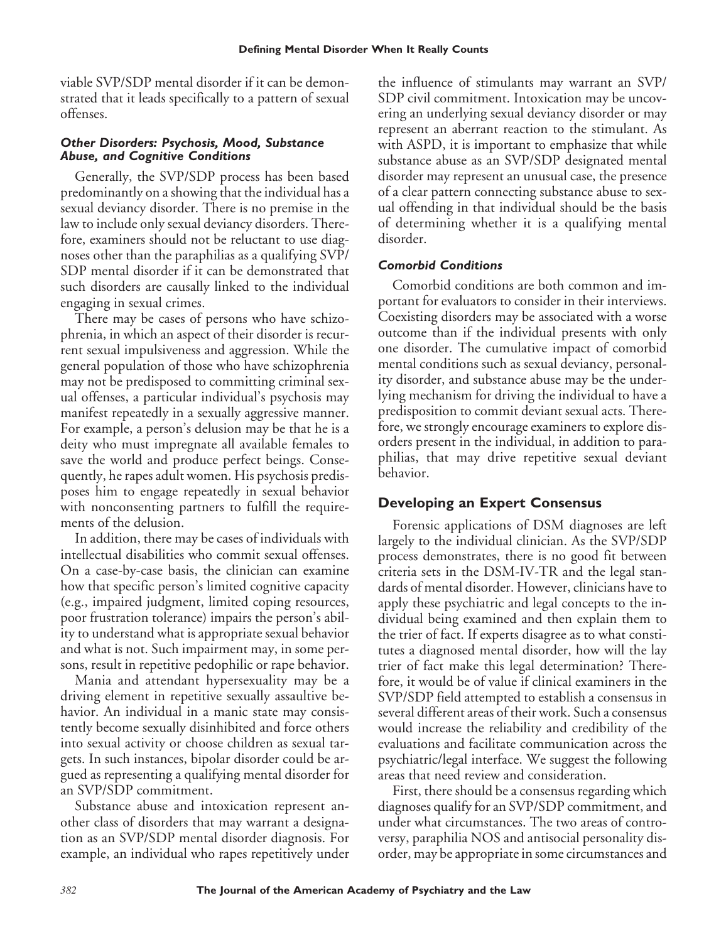viable SVP/SDP mental disorder if it can be demonstrated that it leads specifically to a pattern of sexual offenses.

#### *Other Disorders: Psychosis, Mood, Substance Abuse, and Cognitive Conditions*

Generally, the SVP/SDP process has been based predominantly on a showing that the individual has a sexual deviancy disorder. There is no premise in the law to include only sexual deviancy disorders. Therefore, examiners should not be reluctant to use diagnoses other than the paraphilias as a qualifying SVP/ SDP mental disorder if it can be demonstrated that such disorders are causally linked to the individual engaging in sexual crimes.

There may be cases of persons who have schizophrenia, in which an aspect of their disorder is recurrent sexual impulsiveness and aggression. While the general population of those who have schizophrenia may not be predisposed to committing criminal sexual offenses, a particular individual's psychosis may manifest repeatedly in a sexually aggressive manner. For example, a person's delusion may be that he is a deity who must impregnate all available females to save the world and produce perfect beings. Consequently, he rapes adult women. His psychosis predisposes him to engage repeatedly in sexual behavior with nonconsenting partners to fulfill the requirements of the delusion.

In addition, there may be cases of individuals with intellectual disabilities who commit sexual offenses. On a case-by-case basis, the clinician can examine how that specific person's limited cognitive capacity (e.g., impaired judgment, limited coping resources, poor frustration tolerance) impairs the person's ability to understand what is appropriate sexual behavior and what is not. Such impairment may, in some persons, result in repetitive pedophilic or rape behavior.

Mania and attendant hypersexuality may be a driving element in repetitive sexually assaultive behavior. An individual in a manic state may consistently become sexually disinhibited and force others into sexual activity or choose children as sexual targets. In such instances, bipolar disorder could be argued as representing a qualifying mental disorder for an SVP/SDP commitment.

Substance abuse and intoxication represent another class of disorders that may warrant a designation as an SVP/SDP mental disorder diagnosis. For example, an individual who rapes repetitively under the influence of stimulants may warrant an SVP/ SDP civil commitment. Intoxication may be uncovering an underlying sexual deviancy disorder or may represent an aberrant reaction to the stimulant. As with ASPD, it is important to emphasize that while substance abuse as an SVP/SDP designated mental disorder may represent an unusual case, the presence of a clear pattern connecting substance abuse to sexual offending in that individual should be the basis of determining whether it is a qualifying mental disorder.

#### *Comorbid Conditions*

Comorbid conditions are both common and important for evaluators to consider in their interviews. Coexisting disorders may be associated with a worse outcome than if the individual presents with only one disorder. The cumulative impact of comorbid mental conditions such as sexual deviancy, personality disorder, and substance abuse may be the underlying mechanism for driving the individual to have a predisposition to commit deviant sexual acts. Therefore, we strongly encourage examiners to explore disorders present in the individual, in addition to paraphilias, that may drive repetitive sexual deviant behavior.

# **Developing an Expert Consensus**

Forensic applications of DSM diagnoses are left largely to the individual clinician. As the SVP/SDP process demonstrates, there is no good fit between criteria sets in the DSM-IV-TR and the legal standards of mental disorder. However, clinicians have to apply these psychiatric and legal concepts to the individual being examined and then explain them to the trier of fact. If experts disagree as to what constitutes a diagnosed mental disorder, how will the lay trier of fact make this legal determination? Therefore, it would be of value if clinical examiners in the SVP/SDP field attempted to establish a consensus in several different areas of their work. Such a consensus would increase the reliability and credibility of the evaluations and facilitate communication across the psychiatric/legal interface. We suggest the following areas that need review and consideration.

First, there should be a consensus regarding which diagnoses qualify for an SVP/SDP commitment, and under what circumstances. The two areas of controversy, paraphilia NOS and antisocial personality disorder, may be appropriate in some circumstances and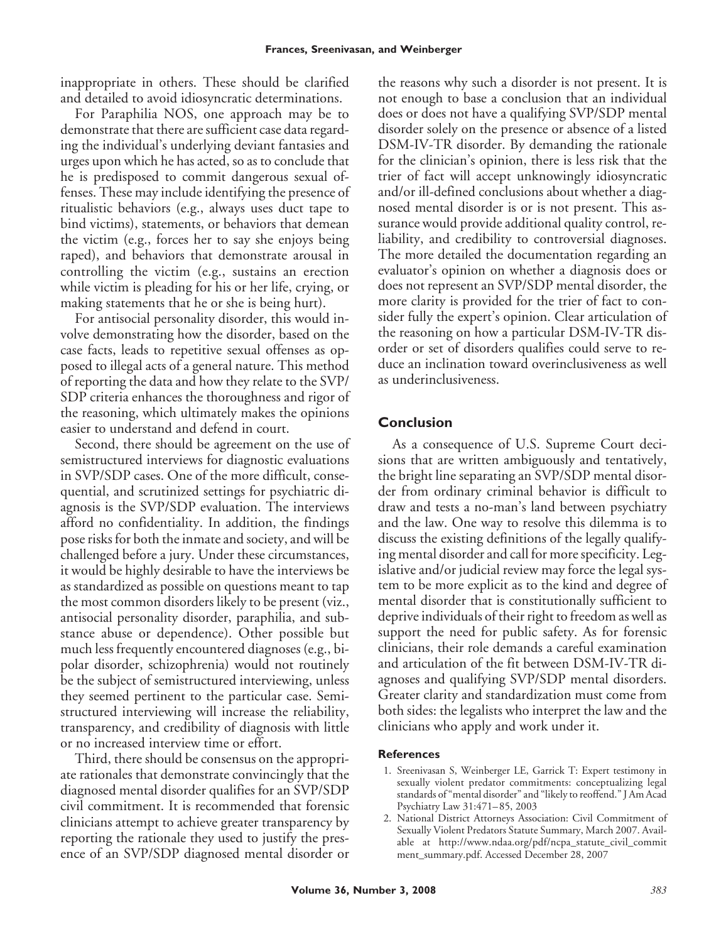inappropriate in others. These should be clarified and detailed to avoid idiosyncratic determinations.

For Paraphilia NOS, one approach may be to demonstrate that there are sufficient case data regarding the individual's underlying deviant fantasies and urges upon which he has acted, so as to conclude that he is predisposed to commit dangerous sexual offenses. These may include identifying the presence of ritualistic behaviors (e.g., always uses duct tape to bind victims), statements, or behaviors that demean the victim (e.g., forces her to say she enjoys being raped), and behaviors that demonstrate arousal in controlling the victim (e.g., sustains an erection while victim is pleading for his or her life, crying, or making statements that he or she is being hurt).

For antisocial personality disorder, this would involve demonstrating how the disorder, based on the case facts, leads to repetitive sexual offenses as opposed to illegal acts of a general nature. This method of reporting the data and how they relate to the SVP/ SDP criteria enhances the thoroughness and rigor of the reasoning, which ultimately makes the opinions easier to understand and defend in court.

Second, there should be agreement on the use of semistructured interviews for diagnostic evaluations in SVP/SDP cases. One of the more difficult, consequential, and scrutinized settings for psychiatric diagnosis is the SVP/SDP evaluation. The interviews afford no confidentiality. In addition, the findings pose risks for both the inmate and society, and will be challenged before a jury. Under these circumstances, it would be highly desirable to have the interviews be as standardized as possible on questions meant to tap the most common disorders likely to be present (viz., antisocial personality disorder, paraphilia, and substance abuse or dependence). Other possible but much less frequently encountered diagnoses (e.g., bipolar disorder, schizophrenia) would not routinely be the subject of semistructured interviewing, unless they seemed pertinent to the particular case. Semistructured interviewing will increase the reliability, transparency, and credibility of diagnosis with little or no increased interview time or effort.

Third, there should be consensus on the appropriate rationales that demonstrate convincingly that the diagnosed mental disorder qualifies for an SVP/SDP civil commitment. It is recommended that forensic clinicians attempt to achieve greater transparency by reporting the rationale they used to justify the presence of an SVP/SDP diagnosed mental disorder or the reasons why such a disorder is not present. It is not enough to base a conclusion that an individual does or does not have a qualifying SVP/SDP mental disorder solely on the presence or absence of a listed DSM-IV-TR disorder. By demanding the rationale for the clinician's opinion, there is less risk that the trier of fact will accept unknowingly idiosyncratic and/or ill-defined conclusions about whether a diagnosed mental disorder is or is not present. This assurance would provide additional quality control, reliability, and credibility to controversial diagnoses. The more detailed the documentation regarding an evaluator's opinion on whether a diagnosis does or does not represent an SVP/SDP mental disorder, the more clarity is provided for the trier of fact to consider fully the expert's opinion. Clear articulation of the reasoning on how a particular DSM-IV-TR disorder or set of disorders qualifies could serve to reduce an inclination toward overinclusiveness as well as underinclusiveness.

#### **Conclusion**

As a consequence of U.S. Supreme Court decisions that are written ambiguously and tentatively, the bright line separating an SVP/SDP mental disorder from ordinary criminal behavior is difficult to draw and tests a no-man's land between psychiatry and the law. One way to resolve this dilemma is to discuss the existing definitions of the legally qualifying mental disorder and call for more specificity. Legislative and/or judicial review may force the legal system to be more explicit as to the kind and degree of mental disorder that is constitutionally sufficient to deprive individuals of their right to freedom as well as support the need for public safety. As for forensic clinicians, their role demands a careful examination and articulation of the fit between DSM-IV-TR diagnoses and qualifying SVP/SDP mental disorders. Greater clarity and standardization must come from both sides: the legalists who interpret the law and the clinicians who apply and work under it.

#### **References**

- 1. Sreenivasan S, Weinberger LE, Garrick T: Expert testimony in sexually violent predator commitments: conceptualizing legal standards of "mental disorder" and "likely to reoffend." J Am Acad Psychiatry Law 31:471– 85, 2003
- 2. National District Attorneys Association: Civil Commitment of Sexually Violent Predators Statute Summary, March 2007. Available at http://www.ndaa.org/pdf/ncpa\_statute\_civil\_commit ment\_summary.pdf. Accessed December 28, 2007